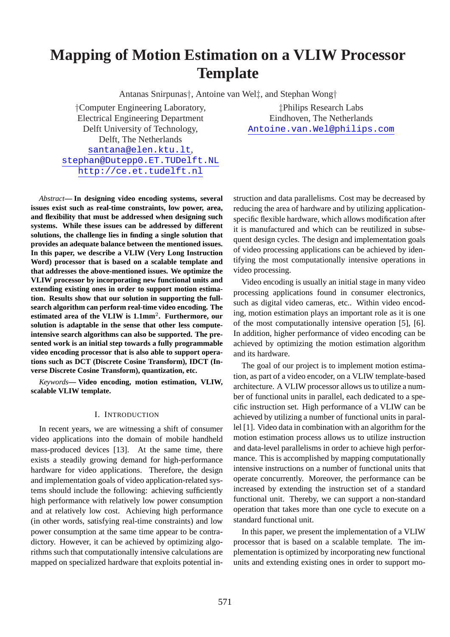# **Mapping of Motion Estimation on a VLIW Processor Template**

Antanas Snirpunas†, Antoine van Wel‡, and Stephan Wong†

†Computer Engineering Laboratory, ‡Philips Research Labs Electrical Engineering Department Eindhoven, The Netherlands Delft, The Netherlands santana@elen.ktu.lt, stephan@Dutepp0.ET.TUDelft.NL http://ce.et.tudelft.nl

Delft University of Technology, Antoine.van.Wel@philips.com

*Abstract***— In designing video encoding systems, several issues exist such as real-time constraints, low power, area, and flexibility that must be addressed when designing such systems. While these issues can be addressed by different solutions, the challenge lies in finding a single solution that provides an adequate balance between the mentioned issues. In this paper, we describe a VLIW (Very Long Instruction Word) processor that is based on a scalable template and that addresses the above-mentioned issues. We optimize the VLIW processor by incorporating new functional units and extending existing ones in order to support motion estimation. Results show that our solution in supporting the fullsearch algorithm can perform real-time video encoding. The estimated area of the VLIW is 1.1mm**<sup>2</sup> **. Furthermore, our solution is adaptable in the sense that other less computeintensive search algorithms can also be supported. The presented work is an initial step towards a fully programmable video encoding processor that is also able to support operations such as DCT (Discrete Cosine Transform), IDCT (Inverse Discrete Cosine Transform), quantization, etc.**

*Keywords***— Video encoding, motion estimation, VLIW, scalable VLIW template.**

# I. INTRODUCTION

In recent years, we are witnessing a shift of consumer video applications into the domain of mobile handheld mass-produced devices [13]. At the same time, there exists a steadily growing demand for high-performance hardware for video applications. Therefore, the design and implementation goals of video application-related systems should include the following: achieving sufficiently high performance with relatively low power consumption and at relatively low cost. Achieving high performance (in other words, satisfying real-time constraints) and low power consumption at the same time appear to be contradictory. However, it can be achieved by optimizing algorithms such that computationally intensive calculations are mapped on specialized hardware that exploits potential instruction and data parallelisms. Cost may be decreased by reducing the area of hardware and by utilizing applicationspecific flexible hardware, which allows modification after it is manufactured and which can be reutilized in subsequent design cycles. The design and implementation goals of video processing applications can be achieved by identifying the most computationally intensive operations in video processing.

Video encoding is usually an initial stage in many video processing applications found in consumer electronics, such as digital video cameras, etc.. Within video encoding, motion estimation plays an important role as it is one of the most computationally intensive operation [5], [6]. In addition, higher performance of video encoding can be achieved by optimizing the motion estimation algorithm and its hardware.

The goal of our project is to implement motion estimation, as part of a video encoder, on a VLIW template-based architecture. A VLIW processor allows us to utilize a number of functional units in parallel, each dedicated to a specific instruction set. High performance of a VLIW can be achieved by utilizing a number of functional units in parallel [1]. Video data in combination with an algorithm for the motion estimation process allows us to utilize instruction and data-level parallelisms in order to achieve high performance. This is accomplished by mapping computationally intensive instructions on a number of functional units that operate concurrently. Moreover, the performance can be increased by extending the instruction set of a standard functional unit. Thereby, we can support a non-standard operation that takes more than one cycle to execute on a standard functional unit.

In this paper, we present the implementation of a VLIW processor that is based on a scalable template. The implementation is optimized by incorporating new functional units and extending existing ones in order to support mo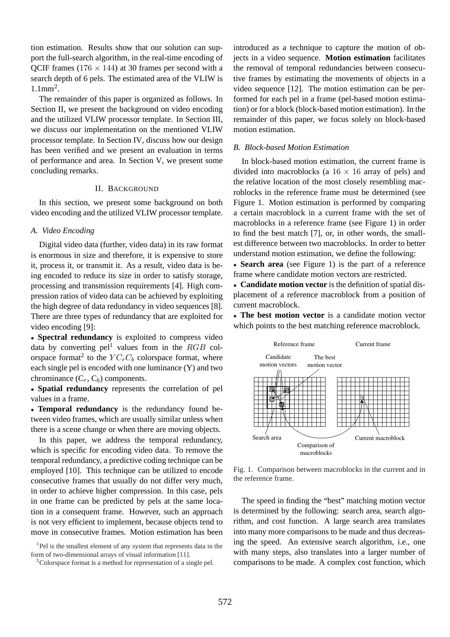tion estimation. Results show that our solution can support the full-search algorithm, in the real-time encoding of QCIF frames (176  $\times$  144) at 30 frames per second with a search depth of 6 pels. The estimated area of the VLIW is 1.1mm<sup>2</sup> .

The remainder of this paper is organized as follows. In Section II, we present the background on video encoding and the utilized VLIW processor template. In Section III, we discuss our implementation on the mentioned VLIW processor template. In Section IV, discuss how our design has been verified and we present an evaluation in terms of performance and area. In Section V, we present some concluding remarks.

# II. BACKGROUND

In this section, we present some background on both video encoding and the utilized VLIW processor template.

#### *A. Video Encoding*

Digital video data (further, video data) in its raw format is enormous in size and therefore, it is expensive to store it, process it, or transmit it. As a result, video data is being encoded to reduce its size in order to satisfy storage, processing and transmission requirements [4]. High compression ratios of video data can be achieved by exploiting the high degree of data redundancy in video sequences [8]. There are three types of redundancy that are exploited for video encoding [9]:

• **Spectral redundancy** is exploited to compress video data by converting pel<sup>1</sup> values from in the  $RGB$  colorspace format<sup>2</sup> to the  $YC<sub>r</sub>C<sub>b</sub>$  colorspace format, where each single pel is encoded with one luminance (Y) and two chrominance  $(C_r, C_b)$  components.

• **Spatial redundancy** represents the correlation of pel values in a frame.

• **Temporal redundancy** is the redundancy found between video frames, which are usually similar unless when there is a scene change or when there are moving objects.

In this paper, we address the temporal redundancy, which is specific for encoding video data. To remove the temporal redundancy, a predictive coding technique can be employed [10]. This technique can be utilized to encode consecutive frames that usually do not differ very much, in order to achieve higher compression. In this case, pels in one frame can be predicted by pels at the same location in a consequent frame. However, such an approach is not very efficient to implement, because objects tend to move in consecutive frames. Motion estimation has been

<sup>1</sup>Pel is the smallest element of any system that represents data in the form of two-dimensional arrays of visual information [11].

introduced as a technique to capture the motion of objects in a video sequence. **Motion estimation** facilitates the removal of temporal redundancies between consecutive frames by estimating the movements of objects in a video sequence [12]. The motion estimation can be performed for each pel in a frame (pel-based motion estimation) or for a block (block-based motion estimation). In the remainder of this paper, we focus solely on block-based motion estimation.

#### *B. Block-based Motion Estimation*

In block-based motion estimation, the current frame is divided into macroblocks (a  $16 \times 16$  array of pels) and the relative location of the most closely resembling macroblocks in the reference frame must be determined (see Figure 1. Motion estimation is performed by comparing a certain macroblock in a current frame with the set of macroblocks in a reference frame (see Figure 1) in order to find the best match [7], or, in other words, the smallest difference between two macroblocks. In order to better understand motion estimation, we define the following:

• **Search area** (see Figure 1) is the part of a reference frame where candidate motion vectors are restricted.

• **Candidate motion vector** is the definition of spatial displacement of a reference macroblock from a position of current macroblock.

• **The best motion vector** is a candidate motion vector which points to the best matching reference macroblock.



Fig. 1. Comparison between macroblocks in the current and in the reference frame.

The speed in finding the "best" matching motion vector is determined by the following: search area, search algorithm, and cost function. A large search area translates into many more comparisons to be made and thus decreasing the speed. An extensive search algorithm, i.e., one with many steps, also translates into a larger number of comparisons to be made. A complex cost function, which

<sup>2</sup>Colorspace format is a method for representation of a single pel.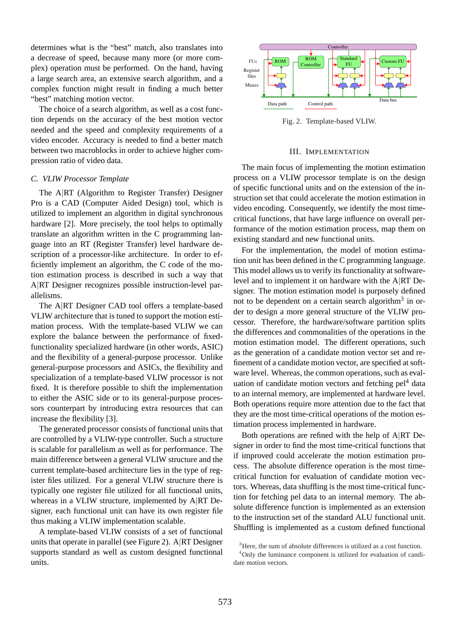determines what is the "best" match, also translates into a decrease of speed, because many more (or more complex) operation must be performed. On the hand, having a large search area, an extensive search algorithm, and a complex function might result in finding a much better "best" matching motion vector.

The choice of a search algorithm, as well as a cost function depends on the accuracy of the best motion vector needed and the speed and complexity requirements of a video encoder. Accuracy is needed to find a better match between two macroblocks in order to achieve higher compression ratio of video data.

## *C. VLIW Processor Template*

The A|RT (Algorithm to Register Transfer) Designer Pro is a CAD (Computer Aided Design) tool, which is utilized to implement an algorithm in digital synchronous hardware [2]. More precisely, the tool helps to optimally translate an algorithm written in the C programming language into an RT (Register Transfer) level hardware description of a processor-like architecture. In order to efficiently implement an algorithm, the C code of the motion estimation process is described in such a way that A|RT Designer recognizes possible instruction-level parallelisms.

The A|RT Designer CAD tool offers a template-based VLIW architecture that is tuned to support the motion estimation process. With the template-based VLIW we can explore the balance between the performance of fixedfunctionality specialized hardware (in other words, ASIC) and the flexibility of a general-purpose processor. Unlike general-purpose processors and ASICs, the flexibility and specialization of a template-based VLIW processor is not fixed. It is therefore possible to shift the implementation to either the ASIC side or to its general-purpose processors counterpart by introducing extra resources that can increase the flexibility [3].

The generated processor consists of functional units that are controlled by a VLIW-type controller. Such a structure is scalable for parallelism as well as for performance. The main difference between a general VLIW structure and the current template-based architecture lies in the type of register files utilized. For a general VLIW structure there is typically one register file utilized for all functional units, whereas in a VLIW structure, implemented by A|RT Designer, each functional unit can have its own register file thus making a VLIW implementation scalable.

A template-based VLIW consists of a set of functional units that operate in parallel (see Figure 2). A|RT Designer supports standard as well as custom designed functional units.



Fig. 2. Template-based VLIW.

#### III. IMPLEMENTATION

The main focus of implementing the motion estimation process on a VLIW processor template is on the design of specific functional units and on the extension of the instruction set that could accelerate the motion estimation in video encoding. Consequently, we identify the most timecritical functions, that have large influence on overall performance of the motion estimation process, map them on existing standard and new functional units.

For the implementation, the model of motion estimation unit has been defined in the C programming language. This model allows us to verify its functionality at softwarelevel and to implement it on hardware with the A|RT Designer. The motion estimation model is purposely defined not to be dependent on a certain search algorithm<sup>3</sup> in order to design a more general structure of the VLIW processor. Therefore, the hardware/software partition splits the differences and commonalities of the operations in the motion estimation model. The different operations, such as the generation of a candidate motion vector set and refinement of a candidate motion vector, are specified at software level. Whereas, the common operations, such as evaluation of candidate motion vectors and fetching  $pel<sup>4</sup>$  data to an internal memory, are implemented at hardware level. Both operations require more attention due to the fact that they are the most time-critical operations of the motion estimation process implemented in hardware.

Both operations are refined with the help of A|RT Designer in order to find the most time-critical functions that if improved could accelerate the motion estimation process. The absolute difference operation is the most timecritical function for evaluation of candidate motion vectors. Whereas, data shuffling is the most time-critical function for fetching pel data to an internal memory. The absolute difference function is implemented as an extension to the instruction set of the standard ALU functional unit. Shuffling is implemented as a custom defined functional

<sup>&</sup>lt;sup>3</sup>Here, the sum of absolute differences is utilized as a cost function.

<sup>4</sup>Only the luminance component is utilized for evaluation of candidate motion vectors.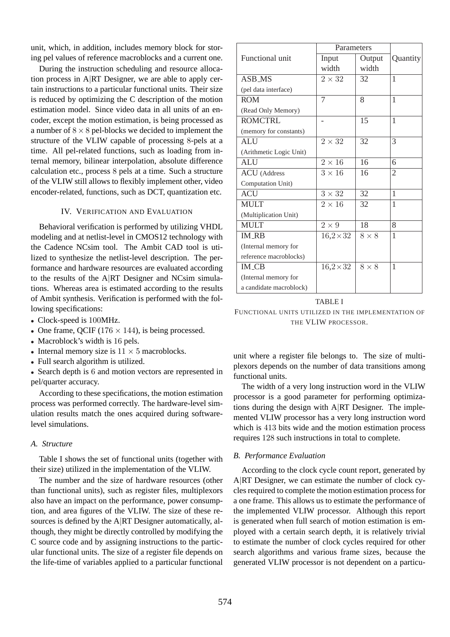unit, which, in addition, includes memory block for storing pel values of reference macroblocks and a current one.

During the instruction scheduling and resource allocation process in A|RT Designer, we are able to apply certain instructions to a particular functional units. Their size is reduced by optimizing the C description of the motion estimation model. Since video data in all units of an encoder, except the motion estimation, is being processed as a number of  $8 \times 8$  pel-blocks we decided to implement the structure of the VLIW capable of processing 8-pels at a time. All pel-related functions, such as loading from internal memory, bilinear interpolation, absolute difference calculation etc., process 8 pels at a time. Such a structure of the VLIW still allows to flexibly implement other, video encoder-related, functions, such as DCT, quantization etc.

# IV. VERIFICATION AND EVALUATION

Behavioral verification is performed by utilizing VHDL modeling and at netlist-level in CMOS12 technology with the Cadence NCsim tool. The Ambit CAD tool is utilized to synthesize the netlist-level description. The performance and hardware resources are evaluated according to the results of the A|RT Designer and NCsim simulations. Whereas area is estimated according to the results of Ambit synthesis. Verification is performed with the following specifications:

- Clock-speed is 100MHz.
- One frame, QCIF ( $176 \times 144$ ), is being processed.
- Macroblock's width is 16 pels.
- Internal memory size is  $11 \times 5$  macroblocks.
- Full search algorithm is utilized.

• Search depth is 6 and motion vectors are represented in pel/quarter accuracy.

According to these specifications, the motion estimation process was performed correctly. The hardware-level simulation results match the ones acquired during softwarelevel simulations.

# *A. Structure*

Table I shows the set of functional units (together with their size) utilized in the implementation of the VLIW.

The number and the size of hardware resources (other than functional units), such as register files, multiplexors also have an impact on the performance, power consumption, and area figures of the VLIW. The size of these resources is defined by the A|RT Designer automatically, although, they might be directly controlled by modifying the C source code and by assigning instructions to the particular functional units. The size of a register file depends on the life-time of variables applied to a particular functional

|                         | Parameters     |              |                |
|-------------------------|----------------|--------------|----------------|
| Functional unit         | Input          | Output       | Quantity       |
|                         | width          | width        |                |
| <b>ASB MS</b>           | $2\times 32$   | 32           | 1              |
| (pel data interface)    |                |              |                |
| <b>ROM</b>              | 7              | 8            | 1              |
| (Read Only Memory)      |                |              |                |
| <b>ROMCTRL</b>          |                | 15           | 1              |
| (memory for constants)  |                |              |                |
| <b>ALU</b>              | $2 \times 32$  | 32           | 3              |
| (Arithmetic Logic Unit) |                |              |                |
| <b>ALU</b>              | $2\times 16$   | 16           | 6              |
| <b>ACU</b> (Address     | $3 \times 16$  | 16           | $\overline{2}$ |
| Computation Unit)       |                |              |                |
| ACU                     | $3 \times 32$  | 32           | 1              |
| <b>MULT</b>             | $2\times16$    | 32           | 1              |
| (Multiplication Unit)   |                |              |                |
| <b>MULT</b>             | $2 \times 9$   | 18           | 8              |
| <b>IM_RB</b>            | $16,2\times32$ | $8 \times 8$ | 1              |
| (Internal memory for    |                |              |                |
| reference macroblocks)  |                |              |                |
| <b>IM_CB</b>            | $16,2\times32$ | $8 \times 8$ | 1              |
| (Internal memory for    |                |              |                |
| a candidate macroblock) |                |              |                |

TABLE I FUNCTIONAL UNITS UTILIZED IN THE IMPLEMENTATION OF THE VLIW PROCESSOR.

unit where a register file belongs to. The size of multiplexors depends on the number of data transitions among functional units.

The width of a very long instruction word in the VLIW processor is a good parameter for performing optimizations during the design with A|RT Designer. The implemented VLIW processor has a very long instruction word which is 413 bits wide and the motion estimation process requires 128 such instructions in total to complete.

# *B. Performance Evaluation*

According to the clock cycle count report, generated by A|RT Designer, we can estimate the number of clock cycles required to complete the motion estimation process for a one frame. This allows us to estimate the performance of the implemented VLIW processor. Although this report is generated when full search of motion estimation is employed with a certain search depth, it is relatively trivial to estimate the number of clock cycles required for other search algorithms and various frame sizes, because the generated VLIW processor is not dependent on a particu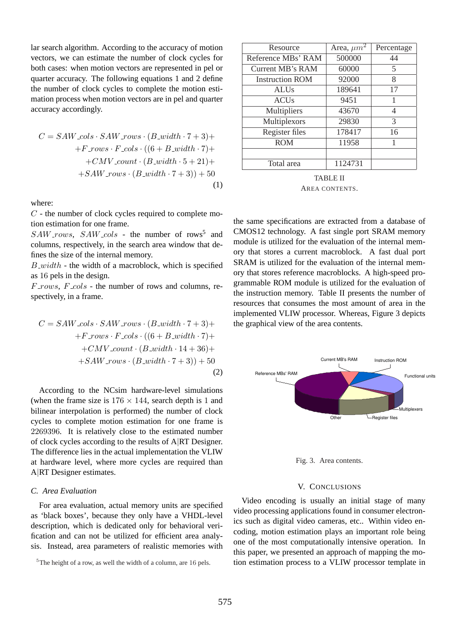lar search algorithm. According to the accuracy of motion vectors, we can estimate the number of clock cycles for both cases: when motion vectors are represented in pel or quarter accuracy. The following equations 1 and 2 define the number of clock cycles to complete the motion estimation process when motion vectors are in pel and quarter accuracy accordingly.

$$
C = SAW \text{...} \cdot SAW \text{...} \cdot (B \text{...} \cdot (B \text{...} \cdot 7 + 3) +
$$
  
+
$$
F \text{...} \cdot F \text{...} \cdot (6 + B \text{...} \cdot (B \text{...} \cdot 7) +
$$
  
+
$$
CMV \text{...} \cdot (B \text{...} \cdot (B \text{...} \cdot 5 + 21) +
$$
  
+
$$
SAW \text{...} \cdot (B \text{...} \cdot (B \text{...} \cdot 7 + 3)) + 50
$$
  
(1)

where:

 $C$  - the number of clock cycles required to complete motion estimation for one frame.

 $SAW_{.}rows, \;SAW_{.}cols$  - the number of rows<sup>5</sup> and columns, respectively, in the search area window that defines the size of the internal memory.

 $B$ <sub>-width</sub> - the width of a macroblock, which is specified as 16 pels in the design.

 $F_{\perp}rows$ ,  $F_{\perp}$ cols - the number of rows and columns, respectively, in a frame.

$$
C = SAW \text{...} \cdot SAW \text{...} \cdot (B \text{...} \cdot (B + 3) +
$$
  
+ $F \text{...} \cdot F \text{...} \cdot (6 + B \text{...} \cdot (B + 3)) +$   
+ $CMV \text{...} \cdot (B \text{...} \cdot (B + 3)) +$   
+ $SAW \text{...} \cdot (B \text{...} \cdot (B + 3)) + 50$   
(2)

According to the NCsim hardware-level simulations (when the frame size is  $176 \times 144$ , search depth is 1 and bilinear interpolation is performed) the number of clock cycles to complete motion estimation for one frame is 2269396. It is relatively close to the estimated number of clock cycles according to the results of A|RT Designer. The difference lies in the actual implementation the VLIW at hardware level, where more cycles are required than A|RT Designer estimates.

## *C. Area Evaluation*

For area evaluation, actual memory units are specified as 'black boxes', because they only have a VHDL-level description, which is dedicated only for behavioral verification and can not be utilized for efficient area analysis. Instead, area parameters of realistic memories with

| Resource               | Area, $\mu m^2$ | Percentage |
|------------------------|-----------------|------------|
| Reference MBs' RAM     | 500000          | 44         |
| Current MB's RAM       | 60000           | 5          |
| <b>Instruction ROM</b> | 92000           | 8          |
| <b>ALUs</b>            | 189641          | 17         |
| <b>ACU<sub>s</sub></b> | 9451            |            |
| Multipliers            | 43670           | 4          |
| Multiplexors           | 29830           | 3          |
| Register files         | 178417          | 16         |
| <b>ROM</b>             | 11958           |            |
|                        |                 |            |
| Total area             | 1124731         |            |

TABLE II AREA CONTENTS.

the same specifications are extracted from a database of CMOS12 technology. A fast single port SRAM memory module is utilized for the evaluation of the internal memory that stores a current macroblock. A fast dual port SRAM is utilized for the evaluation of the internal memory that stores reference macroblocks. A high-speed programmable ROM module is utilized for the evaluation of the instruction memory. Table II presents the number of resources that consumes the most amount of area in the implemented VLIW processor. Whereas, Figure 3 depicts the graphical view of the area contents.



Fig. 3. Area contents.

#### V. CONCLUSIONS

Video encoding is usually an initial stage of many video processing applications found in consumer electronics such as digital video cameras, etc.. Within video encoding, motion estimation plays an important role being one of the most computationally intensive operation. In this paper, we presented an approach of mapping the motion estimation process to a VLIW processor template in

<sup>5</sup>The height of a row, as well the width of a column, are 16 pels.